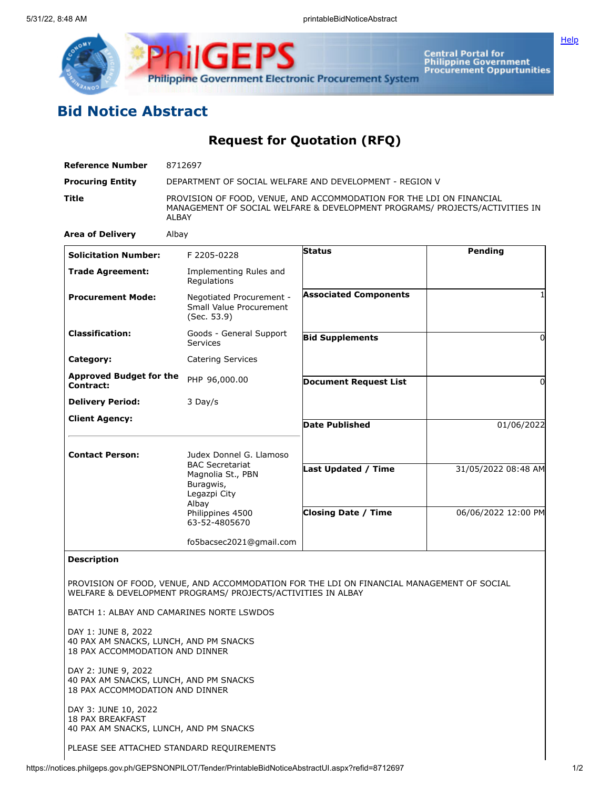

**hilGEPS Philippine Government Electronic Procurement System** 

Central Portal for<br>Philippine Government<br>Procurement Oppurtunities

## **Bid Notice Abstract**

**Request for Quotation (RFQ)**

| <b>Reference Number</b>                                                                          | 8712697                                                                  |                                                                                                                                                     |                     |  |
|--------------------------------------------------------------------------------------------------|--------------------------------------------------------------------------|-----------------------------------------------------------------------------------------------------------------------------------------------------|---------------------|--|
| <b>Procuring Entity</b>                                                                          | DEPARTMENT OF SOCIAL WELFARE AND DEVELOPMENT - REGION V                  |                                                                                                                                                     |                     |  |
| Title                                                                                            | ALBAY                                                                    | PROVISION OF FOOD, VENUE, AND ACCOMMODATION FOR THE LDI ON FINANCIAL<br>MANAGEMENT OF SOCIAL WELFARE & DEVELOPMENT PROGRAMS/ PROJECTS/ACTIVITIES IN |                     |  |
| <b>Area of Delivery</b>                                                                          | Albay                                                                    |                                                                                                                                                     |                     |  |
| <b>Solicitation Number:</b>                                                                      | F 2205-0228                                                              | <b>Status</b>                                                                                                                                       | Pending             |  |
| <b>Trade Agreement:</b>                                                                          | Implementing Rules and<br>Regulations                                    |                                                                                                                                                     |                     |  |
| <b>Procurement Mode:</b>                                                                         | Negotiated Procurement -<br>Small Value Procurement<br>(Sec. 53.9)       | <b>Associated Components</b>                                                                                                                        |                     |  |
| <b>Classification:</b>                                                                           | Goods - General Support<br><b>Services</b>                               | <b>Bid Supplements</b>                                                                                                                              | $\Omega$            |  |
| Category:                                                                                        | <b>Catering Services</b>                                                 |                                                                                                                                                     |                     |  |
| <b>Approved Budget for the</b><br>Contract:                                                      | PHP 96,000.00                                                            | <b>Document Request List</b>                                                                                                                        | $\Omega$            |  |
| <b>Delivery Period:</b>                                                                          | 3 Day/s                                                                  |                                                                                                                                                     |                     |  |
| <b>Client Agency:</b>                                                                            |                                                                          | <b>Date Published</b>                                                                                                                               | 01/06/2022          |  |
| <b>Contact Person:</b>                                                                           | Judex Donnel G. Llamoso                                                  |                                                                                                                                                     |                     |  |
|                                                                                                  | <b>BAC Secretariat</b><br>Magnolia St., PBN<br>Buragwis,<br>Legazpi City | Last Updated / Time                                                                                                                                 | 31/05/2022 08:48 AM |  |
|                                                                                                  | Albay<br>Philippines 4500<br>63-52-4805670                               | <b>Closing Date / Time</b>                                                                                                                          | 06/06/2022 12:00 PM |  |
|                                                                                                  | fo5bacsec2021@gmail.com                                                  |                                                                                                                                                     |                     |  |
| <b>Description</b>                                                                               |                                                                          |                                                                                                                                                     |                     |  |
|                                                                                                  | WELFARE & DEVELOPMENT PROGRAMS/ PROJECTS/ACTIVITIES IN ALBAY             | PROVISION OF FOOD, VENUE, AND ACCOMMODATION FOR THE LDI ON FINANCIAL MANAGEMENT OF SOCIAL                                                           |                     |  |
|                                                                                                  | BATCH 1: ALBAY AND CAMARINES NORTE LSWDOS                                |                                                                                                                                                     |                     |  |
| DAY 1: JUNE 8, 2022<br>40 PAX AM SNACKS, LUNCH, AND PM SNACKS<br>18 PAX ACCOMMODATION AND DINNER |                                                                          |                                                                                                                                                     |                     |  |
| DAY 2: JUNE 9, 2022<br>40 PAX AM SNACKS, LUNCH, AND PM SNACKS<br>18 PAX ACCOMMODATION AND DINNER |                                                                          |                                                                                                                                                     |                     |  |
| DAY 3: JUNE 10, 2022<br><b>18 PAX BREAKFAST</b><br>40 PAX AM SNACKS, LUNCH, AND PM SNACKS        |                                                                          |                                                                                                                                                     |                     |  |

PLEASE SEE ATTACHED STANDARD REQUIREMENTS